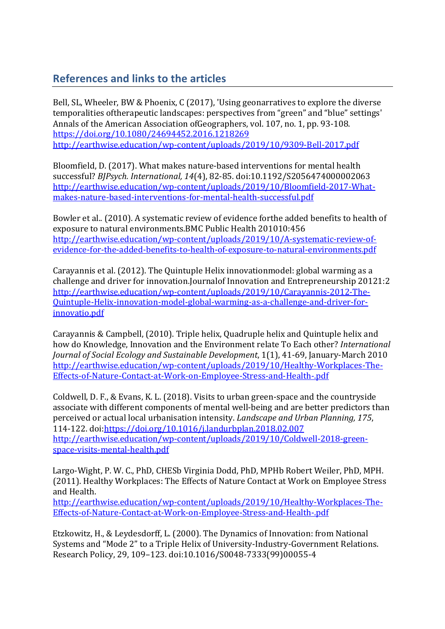## **References and links to the articles**

Bell, SL, Wheeler, BW & Phoenix, C (2017), 'Using geonarratives to explore the diverse temporalities of therapeutic landscapes: perspectives from "green" and "blue" settings' Annals of the American Association ofGeographers, vol. 107, no. 1, pp. 93-108. https://doi.org/10.1080/24694452.2016.1218269 http://earthwise.education/wp-content/uploads/2019/10/9309-Bell-2017.pdf

Bloomfield, D. (2017). What makes nature-based interventions for mental health successful? *BJPsych. International, 14*(4), 82-85. doi:10.1192/S2056474000002063 http://earthwise.education/wp-content/uploads/2019/10/Bloomfield-2017-Whatmakes-nature-based-interventions-for-mental-health-successful.pdf

Bowler et al.. (2010). A systematic review of evidence forthe added benefits to health of exposure to natural environments.BMC Public Health 201010:456 http://earthwise.education/wp-content/uploads/2019/10/A-systematic-review-ofevidence-for-the-added-benefits-to-health-of-exposure-to-natural-environments.pdf

Carayannis et al. (2012). The Quintuple Helix innovationmodel: global warming as a challenge and driver for innovation.Journalof Innovation and Entrepreneurship 20121:2 http://earthwise.education/wp-content/uploads/2019/10/Carayannis-2012-The-Quintuple-Helix-innovation-model-global-warming-as-a-challenge-and-driver-forinnovatio.pdf

Carayannis & Campbell, (2010). Triple helix, Quadruple helix and Quintuple helix and how do Knowledge, Innovation and the Environment relate To Each other? *International Journal of Social Ecology and Sustainable Development,* 1(1), 41-69, January-March 2010 http://earthwise.education/wp-content/uploads/2019/10/Healthy-Workplaces-The-Effects-of-Nature-Contact-at-Work-on-Employee-Stress-and-Health-.pdf

Coldwell, D. F., & Evans, K. L. (2018). Visits to urban green-space and the countryside associate with different components of mental well-being and are better predictors than perceived or actual local urbanisation intensity. *Landscape and Urban Planning, 175,* 114-122. doi:https://doi.org/10.1016/j.landurbplan.2018.02.007 http://earthwise.education/wp-content/uploads/2019/10/Coldwell-2018-greenspace-visits-mental-health.pdf

Largo-Wight, P. W. C., PhD, CHESb Virginia Dodd, PhD, MPHb Robert Weiler, PhD, MPH. (2011). Healthy Workplaces: The Effects of Nature Contact at Work on Employee Stress and Health.

http://earthwise.education/wp-content/uploads/2019/10/Healthy-Workplaces-The-Effects-of-Nature-Contact-at-Work-on-Employee-Stress-and-Health-.pdf

Etzkowitz, H., & Leydesdorff, L. (2000). The Dynamics of Innovation: from National Systems and "Mode 2" to a Triple Helix of University-Industry-Government Relations. Research Policy, 29, 109–123. doi:10.1016/S0048-7333(99)00055-4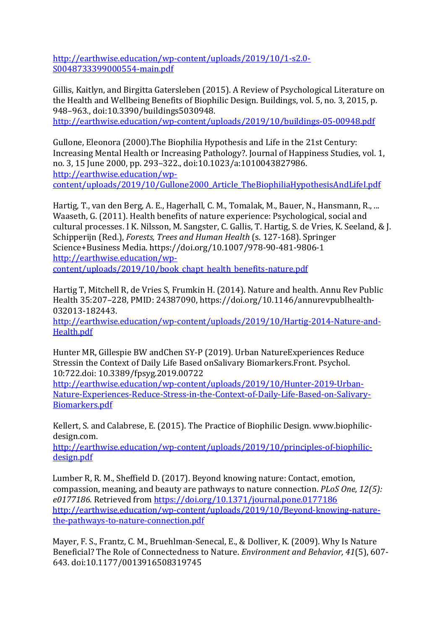http://earthwise.education/wp-content/uploads/2019/10/1-s2.0- S0048733399000554-main.pdf

Gillis, Kaitlyn, and Birgitta Gatersleben (2015). A Review of Psychological Literature on the Health and Wellbeing Benefits of Biophilic Design. Buildings, vol. 5, no. 3, 2015, p. 948-963., doi:10.3390/buildings5030948.

http://earthwise.education/wp-content/uploads/2019/10/buildings-05-00948.pdf

Gullone, Eleonora (2000). The Biophilia Hypothesis and Life in the 21st Century: Increasing Mental Health or Increasing Pathology?. Journal of Happiness Studies, vol. 1, no. 3, 15 June 2000, pp. 293-322., doi:10.1023/a:1010043827986. http://earthwise.education/wp-

content/uploads/2019/10/Gullone2000\_Article\_TheBiophiliaHypothesisAndLifeI.pdf

Hartig, T., van den Berg, A. E., Hagerhall, C. M., Tomalak, M., Bauer, N., Hansmann, R., ... Waaseth, G. (2011). Health benefits of nature experience: Psychological, social and cultural processes. I K. Nilsson, M. Sangster, C. Gallis, T. Hartig, S. de Vries, K. Seeland, & J. Schipperijn (Red.), *Forests, Trees and Human Health* (s. 127-168). Springer Science+Business Media. https://doi.org/10.1007/978-90-481-9806-1 http://earthwise.education/wpcontent/uploads/2019/10/book\_chapt\_health\_benefits-nature.pdf

Hartig T, Mitchell R, de Vries S, Frumkin H. (2014). Nature and health. Annu Rev Public Health 35:207-228, PMID: 24387090, https://doi.org/10.1146/annurevpublhealth-032013-182443.

http://earthwise.education/wp-content/uploads/2019/10/Hartig-2014-Nature-and-Health.pdf

Hunter MR, Gillespie BW andChen SY-P (2019). Urban NatureExperiences Reduce Stressin the Context of Daily Life Based onSalivary Biomarkers.Front. Psychol. 10:722.doi: 10.3389/fpsyg.2019.00722

http://earthwise.education/wp-content/uploads/2019/10/Hunter-2019-Urban-Nature-Experiences-Reduce-Stress-in-the-Context-of-Daily-Life-Based-on-Salivary-Biomarkers.pdf

Kellert, S. and Calabrese, E. (2015). The Practice of Biophilic Design. www.biophilicdesign.com.

http://earthwise.education/wp-content/uploads/2019/10/principles-of-biophilicdesign.pdf

Lumber R, R, M., Sheffield D, (2017). Beyond knowing nature: Contact, emotion, compassion, meaning, and beauty are pathways to nature connection. *PLoS One, 12(5):* e0177186. Retrieved from https://doi.org/10.1371/journal.pone.0177186 http://earthwise.education/wp-content/uploads/2019/10/Beyond-knowing-naturethe-pathways-to-nature-connection.pdf

Mayer, F. S., Frantz, C. M., Bruehlman-Senecal, E., & Dolliver, K. (2009). Why Is Nature Beneficial? The Role of Connectedness to Nature. *Environment and Behavior*, 41(5), 607-643. doi:10.1177/0013916508319745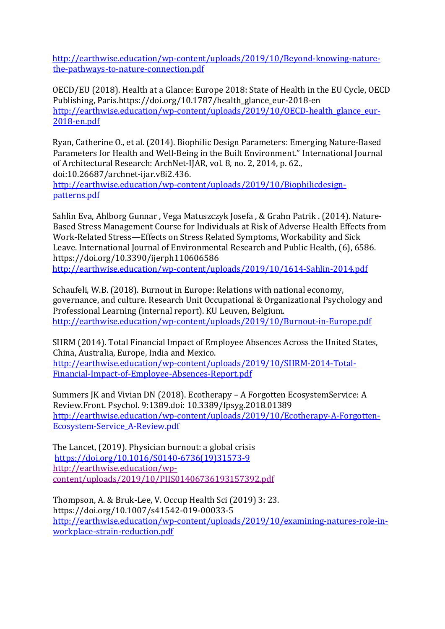http://earthwise.education/wp-content/uploads/2019/10/Beyond-knowing-naturethe-pathways-to-nature-connection.pdf

OECD/EU (2018). Health at a Glance: Europe 2018: State of Health in the EU Cycle, OECD Publishing, Paris.https://doi.org/10.1787/health\_glance\_eur-2018-en http://earthwise.education/wp-content/uploads/2019/10/OECD-health\_glance\_eur-2018-en.pdf

Ryan, Catherine O., et al. (2014). Biophilic Design Parameters: Emerging Nature-Based Parameters for Health and Well-Being in the Built Environment." International Journal of Architectural Research: ArchNet-IJAR, vol. 8, no. 2, 2014, p. 62., doi:10.26687/archnet-ijar.v8i2.436.

http://earthwise.education/wp-content/uploads/2019/10/Biophilicdesignpatterns.pdf

Sahlin Eva, Ahlborg Gunnar, Vega Matuszczyk Josefa, & Grahn Patrik . (2014). Nature-Based Stress Management Course for Individuals at Risk of Adverse Health Effects from Work-Related Stress—Effects on Stress Related Symptoms, Workability and Sick Leave. International Journal of Environmental Research and Public Health, (6), 6586. https://doi.org/10.3390/ijerph110606586 http://earthwise.education/wp-content/uploads/2019/10/1614-Sahlin-2014.pdf

Schaufeli, W.B. (2018). Burnout in Europe: Relations with national economy, governance, and culture. Research Unit Occupational & Organizational Psychology and Professional Learning (internal report). KU Leuven, Belgium. http://earthwise.education/wp-content/uploads/2019/10/Burnout-in-Europe.pdf

SHRM (2014). Total Financial Impact of Employee Absences Across the United States, China, Australia, Europe, India and Mexico. http://earthwise.education/wp-content/uploads/2019/10/SHRM-2014-Total-

Financial-Impact-of-Employee-Absences-Report.pdf

Summers JK and Vivian DN (2018). Ecotherapy – A Forgotten EcosystemService: A Review.Front. Psychol. 9:1389.doi: 10.3389/fpsyg.2018.01389 http://earthwise.education/wp-content/uploads/2019/10/Ecotherapy-A-Forgotten-Ecosystem-Service\_A-Review.pdf

The Lancet, (2019). Physician burnout: a global crisis https://doi.org/10.1016/S0140-6736(19)31573-9 http://earthwise.education/wpcontent/uploads/2019/10/PIIS01406736193157392.pdf

Thompson, A. & Bruk-Lee, V. Occup Health Sci (2019) 3: 23. https://doi.org/10.1007/s41542-019-00033-5 http://earthwise.education/wp-content/uploads/2019/10/examining-natures-role-inworkplace-strain-reduction.pdf